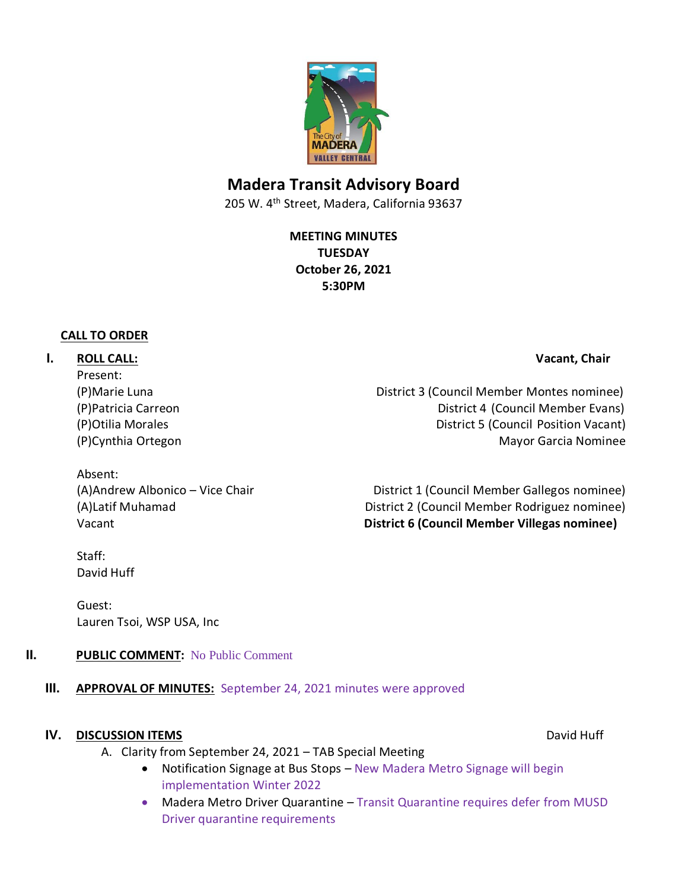

# **Madera Transit Advisory Board**

205 W. 4th Street, Madera, California 93637

**MEETING MINUTES TUESDAY October 26, 2021 5:30PM**

#### **CALL TO ORDER**

## **I. ROLL CALL: Vacant, Chair**

Present:

(P)Marie Luna District 3 (Council Member Montes nominee) (P)Patricia Carreon District 4 (Council Member Evans) (P)Otilia Morales **District 5** (Council Position Vacant) (P)Cynthia Ortegon Mayor Garcia Nominee

Absent:

(A)Andrew Albonico – Vice Chair District 1 (Council Member Gallegos nominee) (A)Latif Muhamad District 2 (Council Member Rodriguez nominee) Vacant **District 6 (Council Member Villegas nominee)**

Staff: David Huff

Guest: Lauren Tsoi, WSP USA, Inc

## **II. PUBLIC COMMENT:** No Public Comment

## **III. APPROVAL OF MINUTES:** September 24, 2021 minutes were approved

#### **IV. DISCUSSION ITEMS** David Huff

- A. Clarity from September 24, 2021 TAB Special Meeting
	- Notification Signage at Bus Stops New Madera Metro Signage will begin implementation Winter 2022
	- Madera Metro Driver Quarantine Transit Quarantine requires defer from MUSD Driver quarantine requirements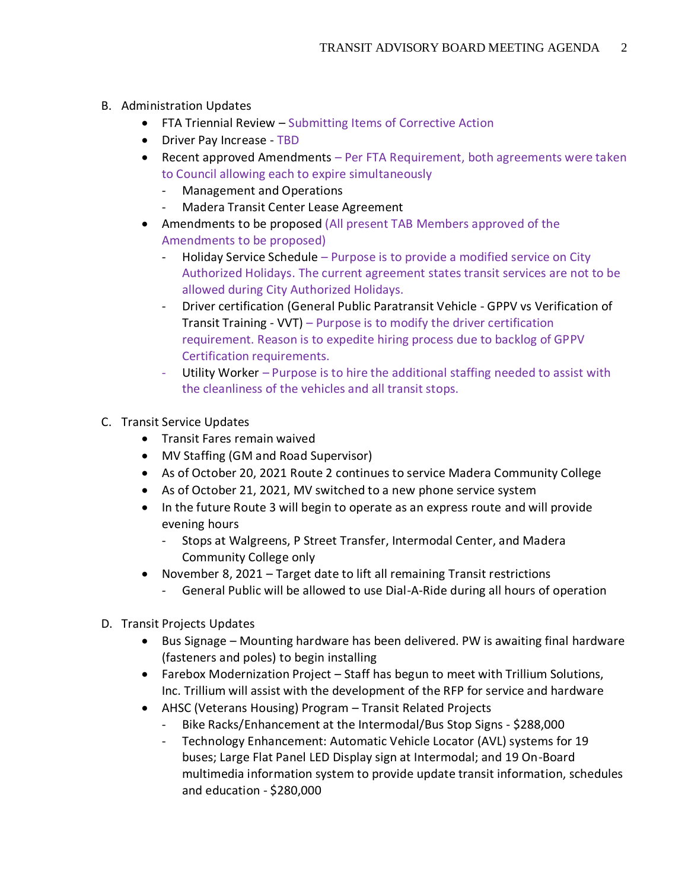- B. Administration Updates
	- FTA Triennial Review Submitting Items of Corrective Action
	- Driver Pay Increase TBD
	- Recent approved Amendments Per FTA Requirement, both agreements were taken to Council allowing each to expire simultaneously
		- Management and Operations
		- Madera Transit Center Lease Agreement
	- Amendments to be proposed (All present TAB Members approved of the Amendments to be proposed)
		- Holiday Service Schedule Purpose is to provide a modified service on City Authorized Holidays. The current agreement states transit services are not to be allowed during City Authorized Holidays.
		- Driver certification (General Public Paratransit Vehicle GPPV vs Verification of Transit Training - VVT) – Purpose is to modify the driver certification requirement. Reason is to expedite hiring process due to backlog of GPPV Certification requirements.
		- Utility Worker Purpose is to hire the additional staffing needed to assist with the cleanliness of the vehicles and all transit stops.
- C. Transit Service Updates
	- Transit Fares remain waived
	- MV Staffing (GM and Road Supervisor)
	- As of October 20, 2021 Route 2 continues to service Madera Community College
	- As of October 21, 2021, MV switched to a new phone service system
	- In the future Route 3 will begin to operate as an express route and will provide evening hours
		- Stops at Walgreens, P Street Transfer, Intermodal Center, and Madera Community College only
	- November 8, 2021 Target date to lift all remaining Transit restrictions
		- General Public will be allowed to use Dial-A-Ride during all hours of operation
- D. Transit Projects Updates
	- Bus Signage Mounting hardware has been delivered. PW is awaiting final hardware (fasteners and poles) to begin installing
	- Farebox Modernization Project Staff has begun to meet with Trillium Solutions, Inc. Trillium will assist with the development of the RFP for service and hardware
	- AHSC (Veterans Housing) Program Transit Related Projects
		- Bike Racks/Enhancement at the Intermodal/Bus Stop Signs \$288,000
		- Technology Enhancement: Automatic Vehicle Locator (AVL) systems for 19 buses; Large Flat Panel LED Display sign at Intermodal; and 19 On-Board multimedia information system to provide update transit information, schedules and education - \$280,000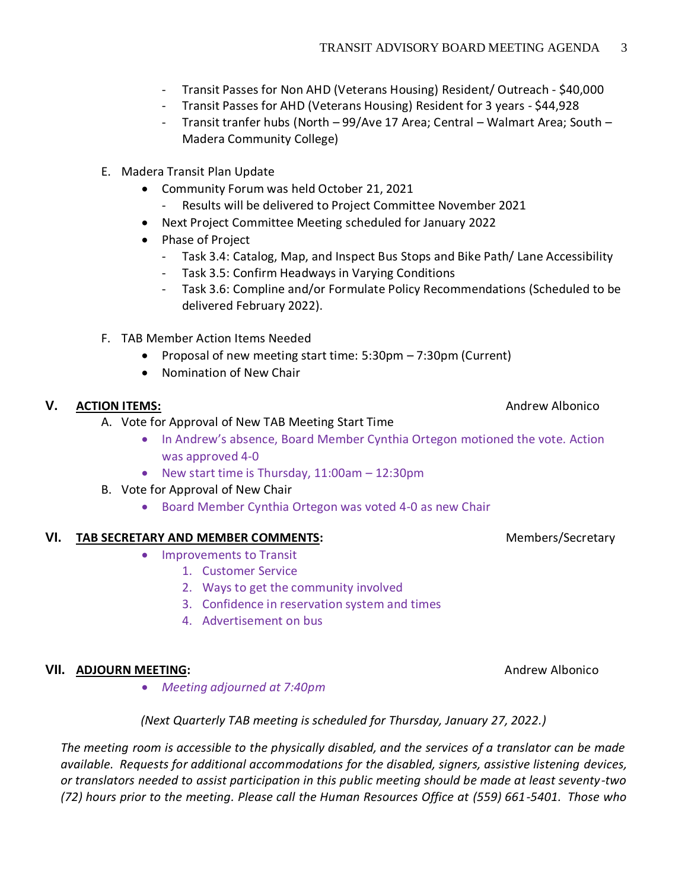- Transit Passes for Non AHD (Veterans Housing) Resident/ Outreach \$40,000
- Transit Passes for AHD (Veterans Housing) Resident for 3 years \$44,928
- Transit tranfer hubs (North 99/Ave 17 Area; Central Walmart Area; South Madera Community College)
- E. Madera Transit Plan Update
	- Community Forum was held October 21, 2021
		- Results will be delivered to Project Committee November 2021
	- Next Project Committee Meeting scheduled for January 2022
	- Phase of Project
		- Task 3.4: Catalog, Map, and Inspect Bus Stops and Bike Path/ Lane Accessibility
		- Task 3.5: Confirm Headways in Varying Conditions
		- Task 3.6: Compline and/or Formulate Policy Recommendations (Scheduled to be delivered February 2022).
- F. TAB Member Action Items Needed
	- Proposal of new meeting start time: 5:30pm 7:30pm (Current)
	- Nomination of New Chair

## **V. ACTION ITEMS:** Andrew Albonico

- A. Vote for Approval of New TAB Meeting Start Time
	- In Andrew's absence, Board Member Cynthia Ortegon motioned the vote. Action was approved 4-0
	- New start time is Thursday, 11:00am 12:30pm
- B. Vote for Approval of New Chair
	- Board Member Cynthia Ortegon was voted 4-0 as new Chair

## VI. **TAB SECRETARY AND MEMBER COMMENTS:** Members/Secretary

- Improvements to Transit
	- 1. Customer Service
	- 2. Ways to get the community involved
	- 3. Confidence in reservation system and times
	- 4. Advertisement on bus

#### **VII. ADJOURN MEETING: ADJOURN MEETING: ADDITION**

• *Meeting adjourned at 7:40pm*

*(Next Quarterly TAB meeting is scheduled for Thursday, January 27, 2022.)*

*The meeting room is accessible to the physically disabled, and the services of a translator can be made available. Requests for additional accommodations for the disabled, signers, assistive listening devices, or translators needed to assist participation in this public meeting should be made at least seventy-two (72) hours prior to the meeting. Please call the Human Resources Office at (559) 661-5401. Those who*